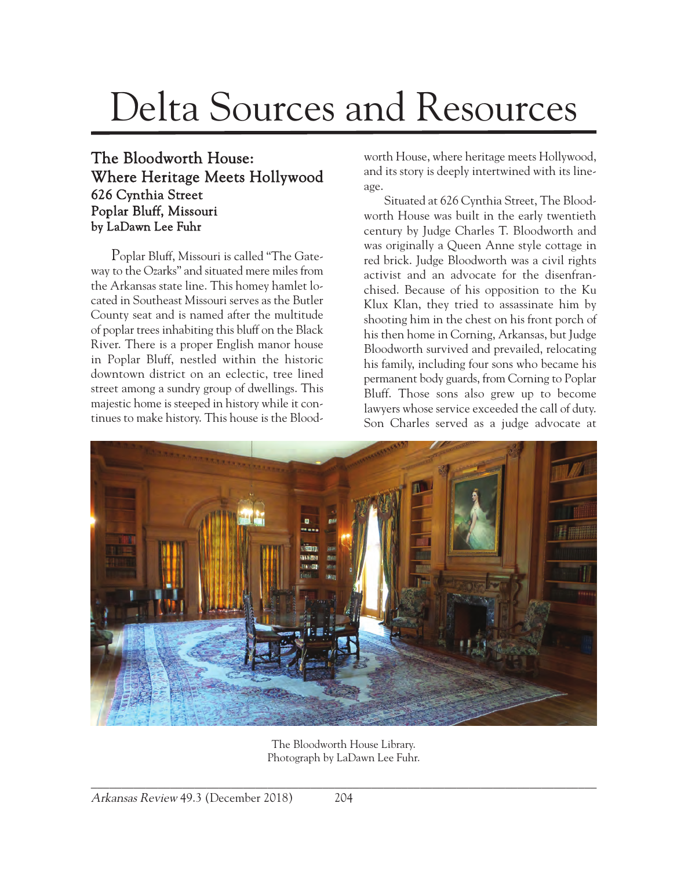## Delta Sources and Resources

## The Bloodworth House: Where Heritage Meets Hollywood 626 Cynthia Street Poplar Bluff, Missouri by LaDawn Lee Fuhr

Poplar Bluff, Missouri is called "The Gateway to the Ozarks" and situated mere miles from the Arkansas state line. This homey hamlet located in Southeast Missouri serves as the Butler County seat and is named after the multitude of poplar trees inhabiting this bluff on the Black River. There is a proper English manor house in Poplar Bluff, nestled within the historic downtown district on an eclectic, tree lined street among a sundry group of dwellings. This majestic home is steeped in history while it continues to make history. This house is the Bloodworth House, where heritage meets Hollywood, and its story is deeply intertwined with its lineage.

Situated at 626 Cynthia Street, The Bloodworth House was built in the early twentieth century by Judge Charles T. Bloodworth and was originally a Queen Anne style cottage in red brick. Judge Bloodworth was a civil rights activist and an advocate for the disenfranchised. Because of his opposition to the Ku Klux Klan, they tried to assassinate him by shooting him in the chest on his front porch of his then home in Corning, Arkansas, but Judge Bloodworth survived and prevailed, relocating his family, including four sons who became his permanent body guards, from Corning to Poplar Bluff. Those sons also grew up to become lawyers whose service exceeded the call of duty. Son Charles served as a judge advocate at



The Bloodworth House Library. Photograph by LaDawn Lee Fuhr.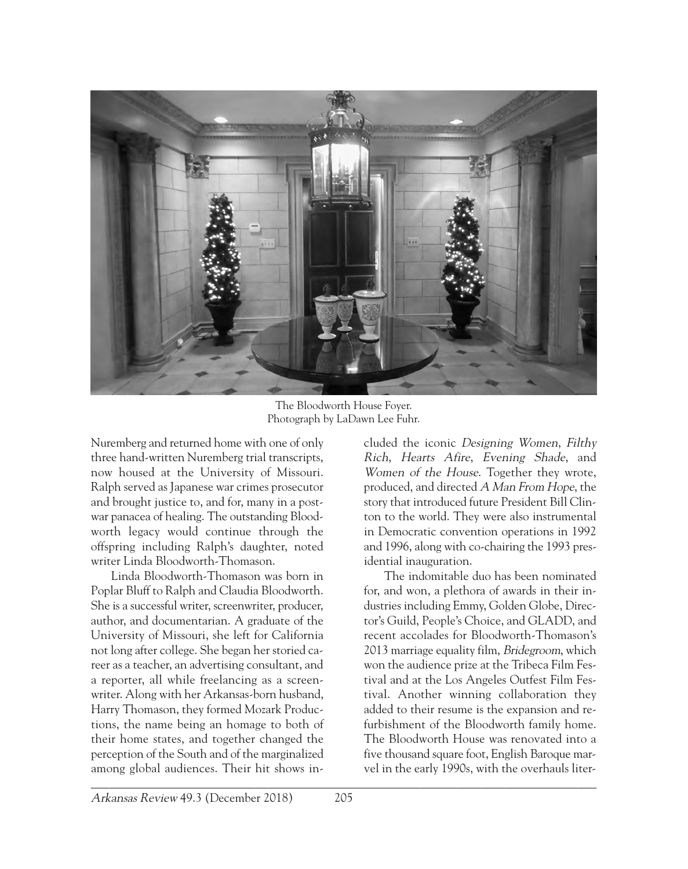

The Bloodworth House Foyer. Photograph by LaDawn Lee Fuhr.

Nuremberg and returned home with one of only three hand-written Nuremberg trial transcripts, now housed at the University of Missouri. Ralph served as Japanese war crimes prosecutor and brought justice to, and for, many in a postwar panacea of healing. The outstanding Bloodworth legacy would continue through the offspring including Ralph's daughter, noted writer Linda Bloodworth-Thomason.

 $\mathcal{L}_\mathcal{L} = \mathcal{L}_\mathcal{L} = \mathcal{L}_\mathcal{L} = \mathcal{L}_\mathcal{L} = \mathcal{L}_\mathcal{L} = \mathcal{L}_\mathcal{L} = \mathcal{L}_\mathcal{L} = \mathcal{L}_\mathcal{L} = \mathcal{L}_\mathcal{L} = \mathcal{L}_\mathcal{L} = \mathcal{L}_\mathcal{L} = \mathcal{L}_\mathcal{L} = \mathcal{L}_\mathcal{L} = \mathcal{L}_\mathcal{L} = \mathcal{L}_\mathcal{L} = \mathcal{L}_\mathcal{L} = \mathcal{L}_\mathcal{L}$ Linda Bloodworth-Thomason was born in Poplar Bluff to Ralph and Claudia Bloodworth. She is a successful writer, screenwriter, producer, author, and documentarian. A graduate of the University of Missouri, she left for California not long after college. She began her storied career as a teacher, an advertising consultant, and a reporter, all while freelancing as a screenwriter. Along with her Arkansas-born husband, Harry Thomason, they formed Mozark Productions, the name being an homage to both of their home states, and together changed the perception of the South and of the marginalized among global audiences. Their hit shows in-

cluded the iconic Designing Women, Filthy Rich, Hearts Afire, Evening Shade, and Women of the House. Together they wrote, produced, and directed A Man From Hope, the story that introduced future President Bill Clinton to the world. They were also instrumental in Democratic convention operations in 1992 and 1996, along with co-chairing the 1993 presidential inauguration.

The indomitable duo has been nominated for, and won, a plethora of awards in their industries including Emmy, Golden Globe, Director's Guild, People's Choice, and GLADD, and recent accolades for Bloodworth-Thomason's 2013 marriage equality film, Bridegroom, which won the audience prize at the Tribeca Film Festival and at the Los Angeles Outfest Film Festival. Another winning collaboration they added to their resume is the expansion and refurbishment of the Bloodworth family home. The Bloodworth House was renovated into a five thousand square foot, English Baroque marvel in the early 1990s, with the overhauls liter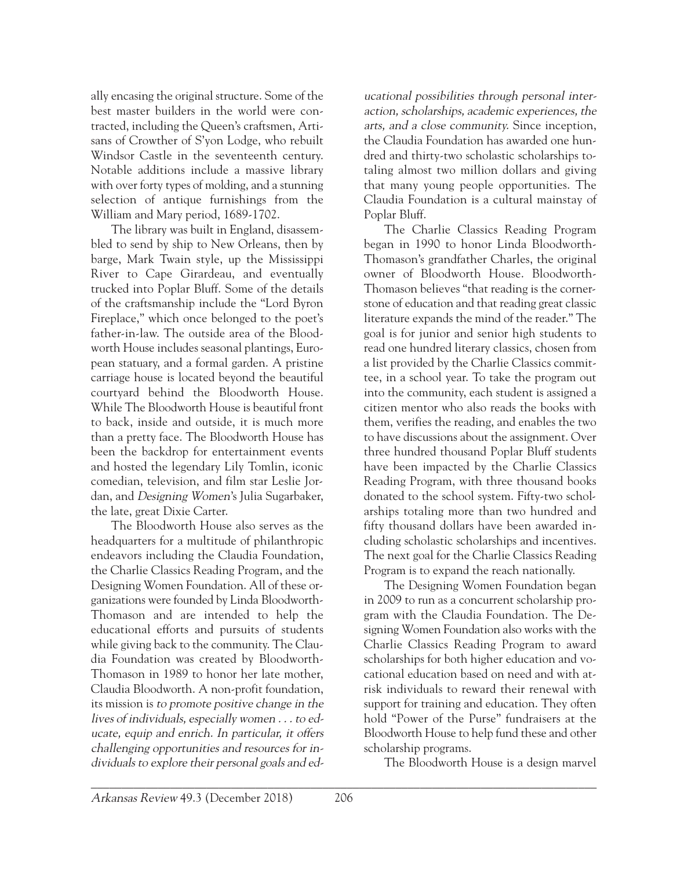ally encasing the original structure. Some of the best master builders in the world were contracted, including the Queen's craftsmen, Artisans of Crowther of S'yon Lodge, who rebuilt Windsor Castle in the seventeenth century. Notable additions include a massive library with over forty types of molding, and a stunning selection of antique furnishings from the William and Mary period, 1689-1702.

The library was built in England, disassembled to send by ship to New Orleans, then by barge, Mark Twain style, up the Mississippi River to Cape Girardeau, and eventually trucked into Poplar Bluff. Some of the details of the craftsmanship include the "Lord Byron Fireplace," which once belonged to the poet's father-in-law. The outside area of the Bloodworth House includes seasonal plantings, European statuary, and a formal garden. A pristine carriage house is located beyond the beautiful courtyard behind the Bloodworth House. While The Bloodworth House is beautiful front to back, inside and outside, it is much more than a pretty face. The Bloodworth House has been the backdrop for entertainment events and hosted the legendary Lily Tomlin, iconic comedian, television, and film star Leslie Jordan, and Designing Women's Julia Sugarbaker, the late, great Dixie Carter.

The Bloodworth House also serves as the headquarters for a multitude of philanthropic endeavors including the Claudia Foundation, the Charlie Classics Reading Program, and the Designing Women Foundation. All of these organizations were founded by Linda Bloodworth-Thomason and are intended to help the educational efforts and pursuits of students while giving back to the community. The Claudia Foundation was created by Bloodworth-Thomason in 1989 to honor her late mother, Claudia Bloodworth. A non-profit foundation, its mission is to promote positive change in the lives of individuals, especially women . . . to educate, equip and enrich. In particular, it offers challenging opportunities and resources for individuals to explore their personal goals and ed-

ucational possibilities through personal interaction, scholarships, academic experiences, the arts, and a close community. Since inception, the Claudia Foundation has awarded one hundred and thirty-two scholastic scholarships totaling almost two million dollars and giving that many young people opportunities. The Claudia Foundation is a cultural mainstay of Poplar Bluff.

The Charlie Classics Reading Program began in 1990 to honor Linda Bloodworth-Thomason's grandfather Charles, the original owner of Bloodworth House. Bloodworth-Thomason believes "that reading is the cornerstone of education and that reading great classic literature expands the mind of the reader." The goal is for junior and senior high students to read one hundred literary classics, chosen from a list provided by the Charlie Classics committee, in a school year. To take the program out into the community, each student is assigned a citizen mentor who also reads the books with them, verifies the reading, and enables the two to have discussions about the assignment. Over three hundred thousand Poplar Bluff students have been impacted by the Charlie Classics Reading Program, with three thousand books donated to the school system. Fifty-two scholarships totaling more than two hundred and fifty thousand dollars have been awarded including scholastic scholarships and incentives. The next goal for the Charlie Classics Reading Program is to expand the reach nationally.

The Designing Women Foundation began in 2009 to run as a concurrent scholarship program with the Claudia Foundation. The Designing Women Foundation also works with the Charlie Classics Reading Program to award scholarships for both higher education and vocational education based on need and with atrisk individuals to reward their renewal with support for training and education. They often hold "Power of the Purse" fundraisers at the Bloodworth House to help fund these and other scholarship programs.

The Bloodworth House is a design marvel